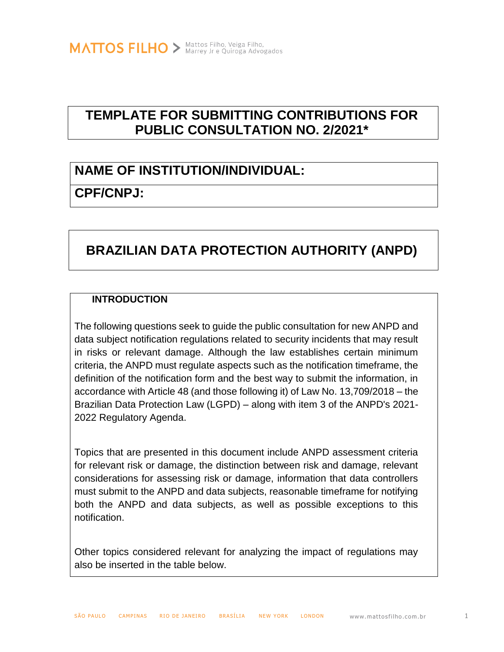## **TEMPLATE FOR SUBMITTING CONTRIBUTIONS FOR PUBLIC CONSULTATION NO. 2/2021\***

## **NAME OF INSTITUTION/INDIVIDUAL:**

## **CPF/CNPJ:**

## **BRAZILIAN DATA PROTECTION AUTHORITY (ANPD)**

### **INTRODUCTION**

The following questions seek to guide the public consultation for new ANPD and data subject notification regulations related to security incidents that may result in risks or relevant damage. Although the law establishes certain minimum criteria, the ANPD must regulate aspects such as the notification timeframe, the definition of the notification form and the best way to submit the information, in accordance with Article 48 (and those following it) of Law No. 13,709/2018 – the Brazilian Data Protection Law (LGPD) – along with item 3 of the ANPD's 2021- 2022 Regulatory Agenda.

Topics that are presented in this document include ANPD assessment criteria for relevant risk or damage, the distinction between risk and damage, relevant considerations for assessing risk or damage, information that data controllers must submit to the ANPD and data subjects, reasonable timeframe for notifying both the ANPD and data subjects, as well as possible exceptions to this notification.

Other topics considered relevant for analyzing the impact of regulations may also be inserted in the table below.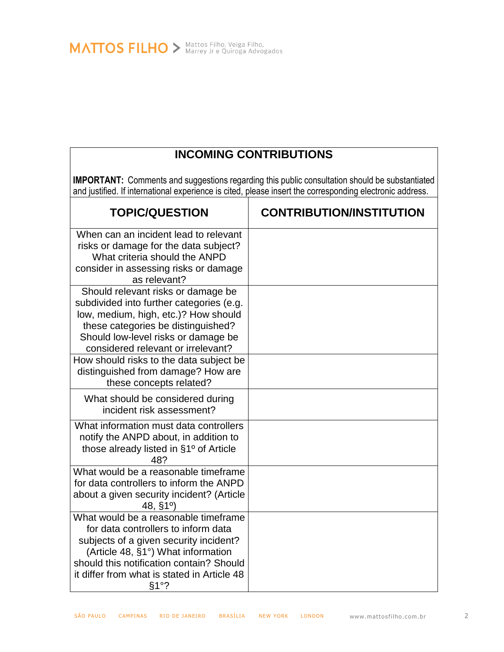MATTOS FILHO > Mattos Filho, Veiga Filho, Veiga Advogados

## **INCOMING CONTRIBUTIONS**

**IMPORTANT:** Comments and suggestions regarding this public consultation should be substantiated and justified. If international experience is cited, please insert the corresponding electronic address.

| <b>TOPIC/QUESTION</b>                                                                                                                                                                                                                                          | <b>CONTRIBUTION/INSTITUTION</b> |
|----------------------------------------------------------------------------------------------------------------------------------------------------------------------------------------------------------------------------------------------------------------|---------------------------------|
| When can an incident lead to relevant<br>risks or damage for the data subject?<br>What criteria should the ANPD<br>consider in assessing risks or damage<br>as relevant?                                                                                       |                                 |
| Should relevant risks or damage be<br>subdivided into further categories (e.g.<br>low, medium, high, etc.)? How should<br>these categories be distinguished?<br>Should low-level risks or damage be<br>considered relevant or irrelevant?                      |                                 |
| How should risks to the data subject be<br>distinguished from damage? How are<br>these concepts related?                                                                                                                                                       |                                 |
| What should be considered during<br>incident risk assessment?                                                                                                                                                                                                  |                                 |
| What information must data controllers<br>notify the ANPD about, in addition to<br>those already listed in §1º of Article<br>48?                                                                                                                               |                                 |
| What would be a reasonable timeframe<br>for data controllers to inform the ANPD<br>about a given security incident? (Article<br>48, §1°                                                                                                                        |                                 |
| What would be a reasonable timeframe<br>for data controllers to inform data<br>subjects of a given security incident?<br>(Article 48, §1°) What information<br>should this notification contain? Should<br>it differ from what is stated in Article 48<br>§1°? |                                 |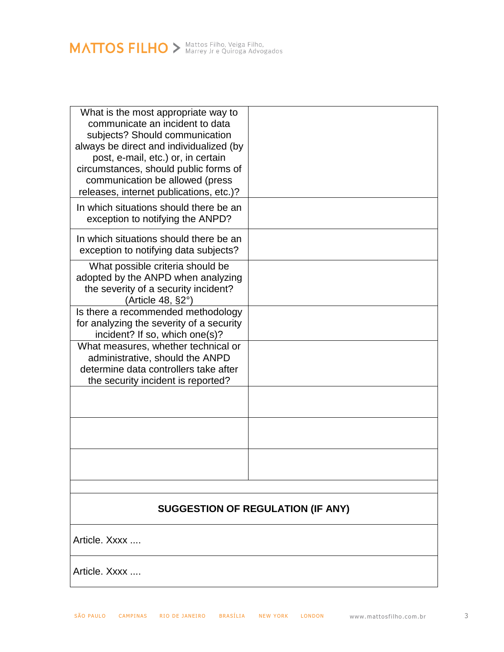# MATTOS FILHO > Mattos Filho, Veiga Filho,

| What is the most appropriate way to      |  |  |
|------------------------------------------|--|--|
| communicate an incident to data          |  |  |
| subjects? Should communication           |  |  |
|                                          |  |  |
| always be direct and individualized (by  |  |  |
| post, e-mail, etc.) or, in certain       |  |  |
| circumstances, should public forms of    |  |  |
| communication be allowed (press          |  |  |
| releases, internet publications, etc.)?  |  |  |
| In which situations should there be an   |  |  |
| exception to notifying the ANPD?         |  |  |
|                                          |  |  |
| In which situations should there be an   |  |  |
| exception to notifying data subjects?    |  |  |
|                                          |  |  |
| What possible criteria should be         |  |  |
| adopted by the ANPD when analyzing       |  |  |
| the severity of a security incident?     |  |  |
| (Article 48, $\S2^{\circ}$ )             |  |  |
| Is there a recommended methodology       |  |  |
| for analyzing the severity of a security |  |  |
| incident? If so, which one(s)?           |  |  |
| What measures, whether technical or      |  |  |
| administrative, should the ANPD          |  |  |
| determine data controllers take after    |  |  |
| the security incident is reported?       |  |  |
|                                          |  |  |
|                                          |  |  |
|                                          |  |  |
|                                          |  |  |
|                                          |  |  |
|                                          |  |  |
|                                          |  |  |
|                                          |  |  |
|                                          |  |  |
|                                          |  |  |
| <b>SUGGESTION OF REGULATION (IF ANY)</b> |  |  |
|                                          |  |  |
| Article, Xxxx                            |  |  |
|                                          |  |  |
|                                          |  |  |
| Article. Xxxx                            |  |  |